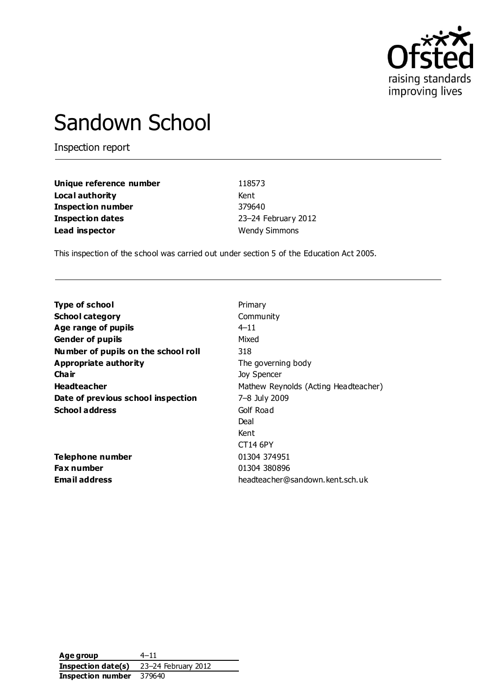

# Sandown School

Inspection report

| Unique reference number  | 118573               |
|--------------------------|----------------------|
| Local authority          | Kent                 |
| <b>Inspection number</b> | 379640               |
| <b>Inspection dates</b>  | 23-24 February 2012  |
| Lead inspector           | <b>Wendy Simmons</b> |

This inspection of the school was carried out under section 5 of the Education Act 2005.

| <b>Type of school</b>               | Primary                              |
|-------------------------------------|--------------------------------------|
| <b>School category</b>              | Community                            |
| Age range of pupils                 | $4 - 11$                             |
| <b>Gender of pupils</b>             | Mixed                                |
| Number of pupils on the school roll | 318                                  |
| <b>Appropriate authority</b>        | The governing body                   |
| Cha ir                              | Joy Spencer                          |
| <b>Headteacher</b>                  | Mathew Reynolds (Acting Headteacher) |
| Date of previous school inspection  | 7-8 July 2009                        |
| <b>School address</b>               | Golf Road                            |
|                                     | Deal                                 |
|                                     | Kent                                 |
|                                     | CT14 6PY                             |
| Telephone number                    | 01304 374951                         |
| Fax number                          | 01304 380896                         |
| <b>Email address</b>                | headteacher@sandown.kent.sch.uk      |

**Age group** 4–11 **Inspection date(s)** 23–24 February 2012 **Inspection number** 379640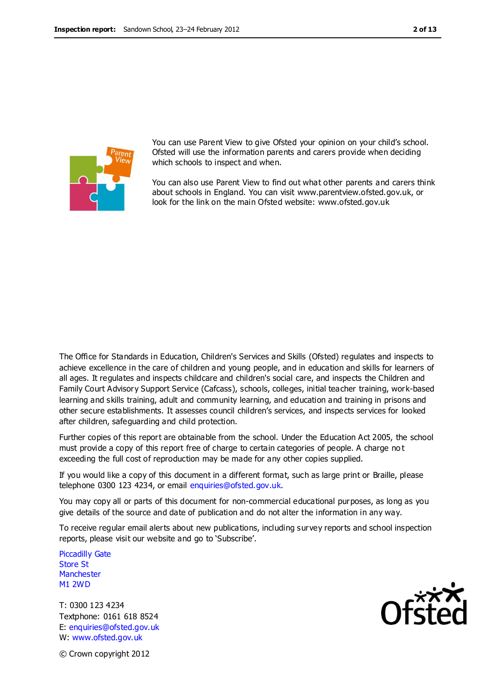

You can use Parent View to give Ofsted your opinion on your child's school. Ofsted will use the information parents and carers provide when deciding which schools to inspect and when.

You can also use Parent View to find out what other parents and carers think about schools in England. You can visit www.parentview.ofsted.gov.uk, or look for the link on the main Ofsted website: www.ofsted.gov.uk

The Office for Standards in Education, Children's Services and Skills (Ofsted) regulates and inspects to achieve excellence in the care of children and young people, and in education and skills for learners of all ages. It regulates and inspects childcare and children's social care, and inspects the Children and Family Court Advisory Support Service (Cafcass), schools, colleges, initial teacher training, work-based learning and skills training, adult and community learning, and education and training in prisons and other secure establishments. It assesses council children's services, and inspects services for looked after children, safeguarding and child protection.

Further copies of this report are obtainable from the school. Under the Education Act 2005, the school must provide a copy of this report free of charge to certain categories of people. A charge no t exceeding the full cost of reproduction may be made for any other copies supplied.

If you would like a copy of this document in a different format, such as large print or Braille, please telephone 0300 123 4234, or email enquiries@ofsted.gov.uk.

You may copy all or parts of this document for non-commercial educational purposes, as long as you give details of the source and date of publication and do not alter the information in any way.

To receive regular email alerts about new publications, including survey reports and school inspection reports, please visit our website and go to 'Subscribe'.

Piccadilly Gate Store St **Manchester** M1 2WD

T: 0300 123 4234 Textphone: 0161 618 8524 E: enquiries@ofsted.gov.uk W: www.ofsted.gov.uk



© Crown copyright 2012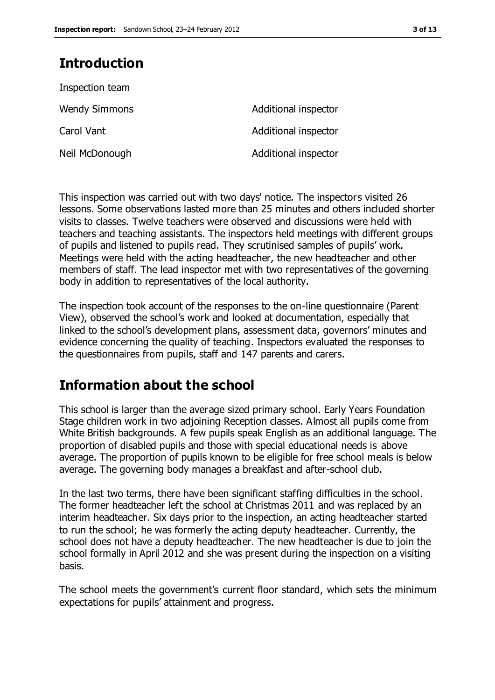# **Introduction**

| Inspection team      |                      |
|----------------------|----------------------|
| <b>Wendy Simmons</b> | Additional inspector |
| Carol Vant           | Additional inspector |
| Neil McDonough       | Additional inspector |

This inspection was carried out with two days' notice. The inspectors visited 26 lessons. Some observations lasted more than 25 minutes and others included shorter visits to classes. Twelve teachers were observed and discussions were held with teachers and teaching assistants. The inspectors held meetings with different groups of pupils and listened to pupils read. They scrutinised samples of pupils' work. Meetings were held with the acting headteacher, the new headteacher and other members of staff. The lead inspector met with two representatives of the governing body in addition to representatives of the local authority.

The inspection took account of the responses to the on-line questionnaire (Parent View), observed the school's work and looked at documentation, especially that linked to the school's development plans, assessment data, governors' minutes and evidence concerning the quality of teaching. Inspectors evaluated the responses to the questionnaires from pupils, staff and 147 parents and carers.

# **Information about the school**

This school is larger than the average sized primary school. Early Years Foundation Stage children work in two adjoining Reception classes. Almost all pupils come from White British backgrounds. A few pupils speak English as an additional language. The proportion of disabled pupils and those with special educational needs is above average. The proportion of pupils known to be eligible for free school meals is below average. The governing body manages a breakfast and after-school club.

In the last two terms, there have been significant staffing difficulties in the school. The former headteacher left the school at Christmas 2011 and was replaced by an interim headteacher. Six days prior to the inspection, an acting headteacher started to run the school; he was formerly the acting deputy headteacher. Currently, the school does not have a deputy headteacher. The new headteacher is due to join the school formally in April 2012 and she was present during the inspection on a visiting basis.

The school meets the government's current floor standard, which sets the minimum expectations for pupils' attainment and progress.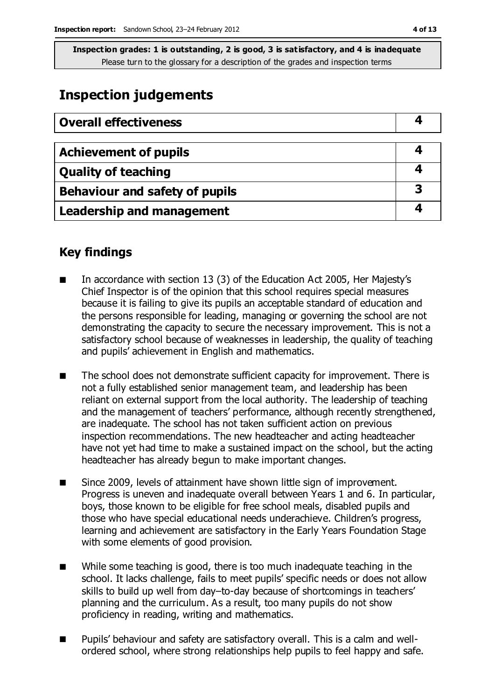**Inspection grades: 1 is outstanding, 2 is good, 3 is satisfactory, and 4 is inadequate** Please turn to the glossary for a description of the grades and inspection terms

# **Inspection judgements**

| <b>Overall effectiveness</b>     |  |
|----------------------------------|--|
|                                  |  |
| <b>Achievement of pupils</b>     |  |
| <b>Quality of teaching</b>       |  |
| Behaviour and safety of pupils   |  |
| <b>Leadership and management</b> |  |

# **Key findings**

- In accordance with section 13 (3) of the Education Act 2005, Her Majesty's Chief Inspector is of the opinion that this school requires special measures because it is failing to give its pupils an acceptable standard of education and the persons responsible for leading, managing or governing the school are not demonstrating the capacity to secure the necessary improvement. This is not a satisfactory school because of weaknesses in leadership, the quality of teaching and pupils' achievement in English and mathematics.
- The school does not demonstrate sufficient capacity for improvement. There is not a fully established senior management team, and leadership has been reliant on external support from the local authority. The leadership of teaching and the management of teachers' performance, although recently strengthened, are inadequate. The school has not taken sufficient action on previous inspection recommendations. The new headteacher and acting headteacher have not yet had time to make a sustained impact on the school, but the acting headteacher has already begun to make important changes.
- Since 2009, levels of attainment have shown little sign of improvement. Progress is uneven and inadequate overall between Years 1 and 6. In particular, boys, those known to be eligible for free school meals, disabled pupils and those who have special educational needs underachieve. Children's progress, learning and achievement are satisfactory in the Early Years Foundation Stage with some elements of good provision.
- While some teaching is good, there is too much inadequate teaching in the school. It lacks challenge, fails to meet pupils' specific needs or does not allow skills to build up well from day–to-day because of shortcomings in teachers' planning and the curriculum. As a result, too many pupils do not show proficiency in reading, writing and mathematics.
- Pupils' behaviour and safety are satisfactory overall. This is a calm and wellordered school, where strong relationships help pupils to feel happy and safe.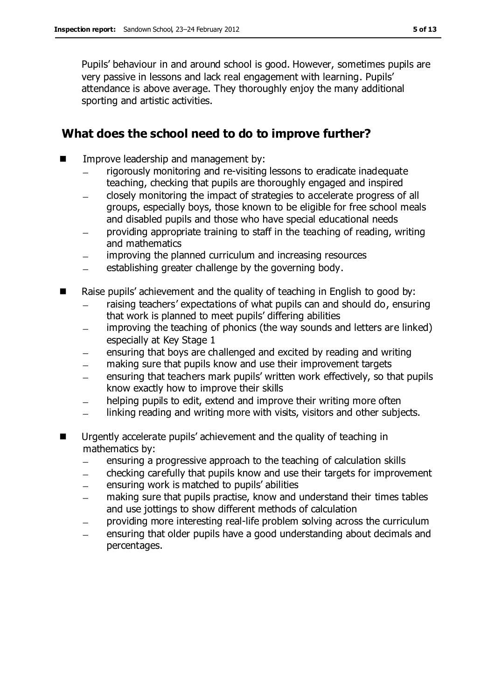Pupils' behaviour in and around school is good. However, sometimes pupils are very passive in lessons and lack real engagement with learning. Pupils' attendance is above average. They thoroughly enjoy the many additional sporting and artistic activities.

### **What does the school need to do to improve further?**

- **IMPROPE Improve leadership and management by:** 
	- rigorously monitoring and re-visiting lessons to eradicate inadequate teaching, checking that pupils are thoroughly engaged and inspired
	- closely monitoring the impact of strategies to accelerate progress of all groups, especially boys, those known to be eligible for free school meals and disabled pupils and those who have special educational needs
	- providing appropriate training to staff in the teaching of reading, writing and mathematics
	- improving the planned curriculum and increasing resources
	- establishing greater challenge by the governing body.
- Raise pupils' achievement and the quality of teaching in English to good by:
	- raising teachers' expectations of what pupils can and should do, ensuring that work is planned to meet pupils' differing abilities
	- improving the teaching of phonics (the way sounds and letters are linked) especially at Key Stage 1
	- ensuring that boys are challenged and excited by reading and writing
	- making sure that pupils know and use their improvement targets
	- ensuring that teachers mark pupils' written work effectively, so that pupils know exactly how to improve their skills
	- helping pupils to edit, extend and improve their writing more often
	- linking reading and writing more with visits, visitors and other subjects.  $\frac{1}{2}$
- **Urgently accelerate pupils' achievement and the quality of teaching in** mathematics by:
	- ensuring a progressive approach to the teaching of calculation skills
	- checking carefully that pupils know and use their targets for improvement
	- ensuring work is matched to pupils' abilities
	- making sure that pupils practise, know and understand their times tables and use jottings to show different methods of calculation
	- providing more interesting real-life problem solving across the curriculum
	- ensuring that older pupils have a good understanding about decimals and percentages.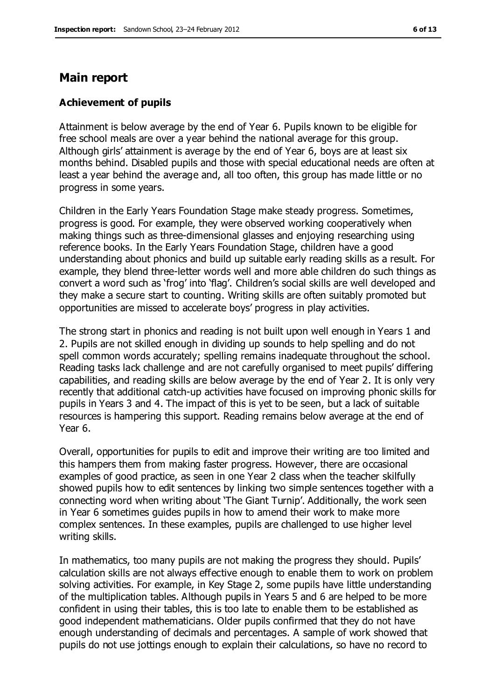### **Main report**

#### **Achievement of pupils**

Attainment is below average by the end of Year 6. Pupils known to be eligible for free school meals are over a year behind the national average for this group. Although girls' attainment is average by the end of Year 6, boys are at least six months behind. Disabled pupils and those with special educational needs are often at least a year behind the average and, all too often, this group has made little or no progress in some years.

Children in the Early Years Foundation Stage make steady progress. Sometimes, progress is good. For example, they were observed working cooperatively when making things such as three-dimensional glasses and enjoying researching using reference books. In the Early Years Foundation Stage, children have a good understanding about phonics and build up suitable early reading skills as a result. For example, they blend three-letter words well and more able children do such things as convert a word such as 'frog' into 'flag'. Children's social skills are well developed and they make a secure start to counting. Writing skills are often suitably promoted but opportunities are missed to accelerate boys' progress in play activities.

The strong start in phonics and reading is not built upon well enough in Years 1 and 2. Pupils are not skilled enough in dividing up sounds to help spelling and do not spell common words accurately; spelling remains inadequate throughout the school. Reading tasks lack challenge and are not carefully organised to meet pupils' differing capabilities, and reading skills are below average by the end of Year 2. It is only very recently that additional catch-up activities have focused on improving phonic skills for pupils in Years 3 and 4. The impact of this is yet to be seen, but a lack of suitable resources is hampering this support. Reading remains below average at the end of Year 6.

Overall, opportunities for pupils to edit and improve their writing are too limited and this hampers them from making faster progress. However, there are occasional examples of good practice, as seen in one Year 2 class when the teacher skilfully showed pupils how to edit sentences by linking two simple sentences together with a connecting word when writing about 'The Giant Turnip'. Additionally, the work seen in Year 6 sometimes guides pupils in how to amend their work to make more complex sentences. In these examples, pupils are challenged to use higher level writing skills.

In mathematics, too many pupils are not making the progress they should. Pupils' calculation skills are not always effective enough to enable them to work on problem solving activities. For example, in Key Stage 2, some pupils have little understanding of the multiplication tables. Although pupils in Years 5 and 6 are helped to be more confident in using their tables, this is too late to enable them to be established as good independent mathematicians. Older pupils confirmed that they do not have enough understanding of decimals and percentages. A sample of work showed that pupils do not use jottings enough to explain their calculations, so have no record to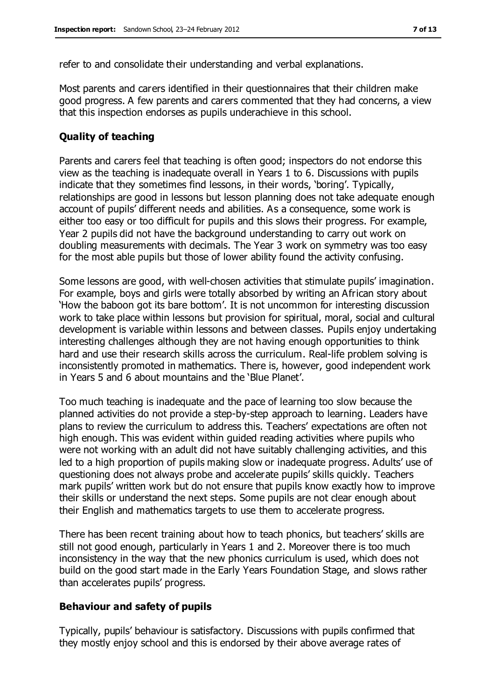refer to and consolidate their understanding and verbal explanations.

Most parents and carers identified in their questionnaires that their children make good progress. A few parents and carers commented that they had concerns, a view that this inspection endorses as pupils underachieve in this school.

#### **Quality of teaching**

Parents and carers feel that teaching is often good; inspectors do not endorse this view as the teaching is inadequate overall in Years 1 to 6. Discussions with pupils indicate that they sometimes find lessons, in their words, 'boring'. Typically, relationships are good in lessons but lesson planning does not take adequate enough account of pupils' different needs and abilities. As a consequence, some work is either too easy or too difficult for pupils and this slows their progress. For example, Year 2 pupils did not have the background understanding to carry out work on doubling measurements with decimals. The Year 3 work on symmetry was too easy for the most able pupils but those of lower ability found the activity confusing.

Some lessons are good, with well-chosen activities that stimulate pupils' imagination. For example, boys and girls were totally absorbed by writing an African story about 'How the baboon got its bare bottom'. It is not uncommon for interesting discussion work to take place within lessons but provision for spiritual, moral, social and cultural development is variable within lessons and between classes. Pupils enjoy undertaking interesting challenges although they are not having enough opportunities to think hard and use their research skills across the curriculum. Real-life problem solving is inconsistently promoted in mathematics. There is, however, good independent work in Years 5 and 6 about mountains and the 'Blue Planet'.

Too much teaching is inadequate and the pace of learning too slow because the planned activities do not provide a step-by-step approach to learning. Leaders have plans to review the curriculum to address this. Teachers' expectations are often not high enough. This was evident within guided reading activities where pupils who were not working with an adult did not have suitably challenging activities, and this led to a high proportion of pupils making slow or inadequate progress. Adults' use of questioning does not always probe and accelerate pupils' skills quickly. Teachers mark pupils' written work but do not ensure that pupils know exactly how to improve their skills or understand the next steps. Some pupils are not clear enough about their English and mathematics targets to use them to accelerate progress.

There has been recent training about how to teach phonics, but teachers' skills are still not good enough, particularly in Years 1 and 2. Moreover there is too much inconsistency in the way that the new phonics curriculum is used, which does not build on the good start made in the Early Years Foundation Stage, and slows rather than accelerates pupils' progress.

#### **Behaviour and safety of pupils**

Typically, pupils' behaviour is satisfactory. Discussions with pupils confirmed that they mostly enjoy school and this is endorsed by their above average rates of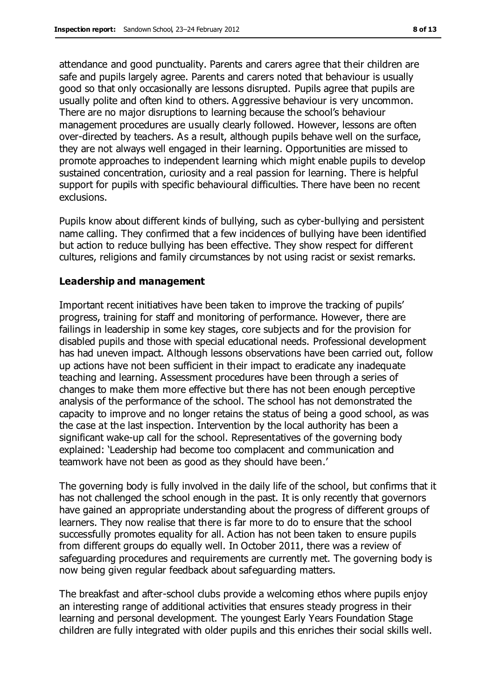attendance and good punctuality. Parents and carers agree that their children are safe and pupils largely agree. Parents and carers noted that behaviour is usually good so that only occasionally are lessons disrupted. Pupils agree that pupils are usually polite and often kind to others. Aggressive behaviour is very uncommon. There are no major disruptions to learning because the school's behaviour management procedures are usually clearly followed. However, lessons are often over-directed by teachers. As a result, although pupils behave well on the surface, they are not always well engaged in their learning. Opportunities are missed to promote approaches to independent learning which might enable pupils to develop sustained concentration, curiosity and a real passion for learning. There is helpful support for pupils with specific behavioural difficulties. There have been no recent exclusions.

Pupils know about different kinds of bullying, such as cyber-bullying and persistent name calling. They confirmed that a few incidences of bullying have been identified but action to reduce bullying has been effective. They show respect for different cultures, religions and family circumstances by not using racist or sexist remarks.

#### **Leadership and management**

Important recent initiatives have been taken to improve the tracking of pupils' progress, training for staff and monitoring of performance. However, there are failings in leadership in some key stages, core subjects and for the provision for disabled pupils and those with special educational needs. Professional development has had uneven impact. Although lessons observations have been carried out, follow up actions have not been sufficient in their impact to eradicate any inadequate teaching and learning. Assessment procedures have been through a series of changes to make them more effective but there has not been enough perceptive analysis of the performance of the school. The school has not demonstrated the capacity to improve and no longer retains the status of being a good school, as was the case at the last inspection. Intervention by the local authority has been a significant wake-up call for the school. Representatives of the governing body explained: 'Leadership had become too complacent and communication and teamwork have not been as good as they should have been.'

The governing body is fully involved in the daily life of the school, but confirms that it has not challenged the school enough in the past. It is only recently that governors have gained an appropriate understanding about the progress of different groups of learners. They now realise that there is far more to do to ensure that the school successfully promotes equality for all. Action has not been taken to ensure pupils from different groups do equally well. In October 2011, there was a review of safeguarding procedures and requirements are currently met. The governing body is now being given regular feedback about safeguarding matters.

The breakfast and after-school clubs provide a welcoming ethos where pupils enjoy an interesting range of additional activities that ensures steady progress in their learning and personal development. The youngest Early Years Foundation Stage children are fully integrated with older pupils and this enriches their social skills well.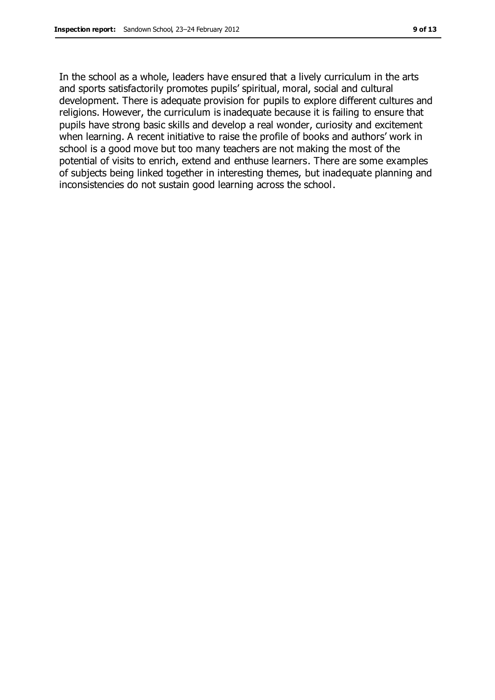In the school as a whole, leaders have ensured that a lively curriculum in the arts and sports satisfactorily promotes pupils' spiritual, moral, social and cultural development. There is adequate provision for pupils to explore different cultures and religions. However, the curriculum is inadequate because it is failing to ensure that pupils have strong basic skills and develop a real wonder, curiosity and excitement when learning. A recent initiative to raise the profile of books and authors' work in school is a good move but too many teachers are not making the most of the potential of visits to enrich, extend and enthuse learners. There are some examples of subjects being linked together in interesting themes, but inadequate planning and inconsistencies do not sustain good learning across the school.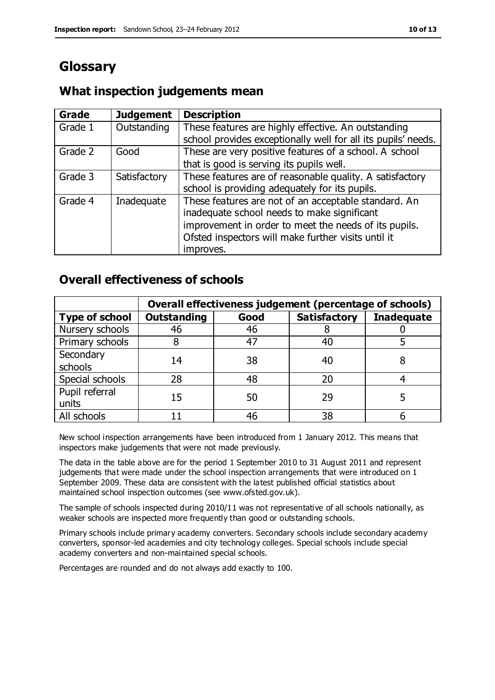# **Glossary**

# **What inspection judgements mean**

| <b>Grade</b> | <b>Judgement</b> | <b>Description</b>                                            |
|--------------|------------------|---------------------------------------------------------------|
| Grade 1      | Outstanding      | These features are highly effective. An outstanding           |
|              |                  | school provides exceptionally well for all its pupils' needs. |
| Grade 2      | Good             | These are very positive features of a school. A school        |
|              |                  | that is good is serving its pupils well.                      |
| Grade 3      | Satisfactory     | These features are of reasonable quality. A satisfactory      |
|              |                  | school is providing adequately for its pupils.                |
| Grade 4      | Inadequate       | These features are not of an acceptable standard. An          |
|              |                  | inadequate school needs to make significant                   |
|              |                  | improvement in order to meet the needs of its pupils.         |
|              |                  | Ofsted inspectors will make further visits until it           |
|              |                  | improves.                                                     |

# **Overall effectiveness of schools**

|                         | Overall effectiveness judgement (percentage of schools) |      |                     |                   |
|-------------------------|---------------------------------------------------------|------|---------------------|-------------------|
| <b>Type of school</b>   | <b>Outstanding</b>                                      | Good | <b>Satisfactory</b> | <b>Inadequate</b> |
| Nursery schools         | 46                                                      | 46   |                     |                   |
| Primary schools         |                                                         | 47   | 40                  |                   |
| Secondary               | 14                                                      | 38   | 40                  |                   |
| schools                 |                                                         |      |                     |                   |
| Special schools         | 28                                                      | 48   | 20                  |                   |
| Pupil referral<br>units | 15                                                      | 50   | 29                  |                   |
| All schools             |                                                         | 46   | 38                  |                   |

New school inspection arrangements have been introduced from 1 January 2012. This means that inspectors make judgements that were not made previously.

The data in the table above are for the period 1 September 2010 to 31 August 2011 and represent judgements that were made under the school inspection arrangements that were introduced on 1 September 2009. These data are consistent with the latest published official statistics about maintained school inspection outcomes (see www.ofsted.gov.uk).

The sample of schools inspected during 2010/11 was not representative of all schools nationally, as weaker schools are inspected more frequently than good or outstanding schools.

Primary schools include primary academy converters. Secondary schools include secondary academy converters, sponsor-led academies and city technology colleges. Special schools include special academy converters and non-maintained special schools.

Percentages are rounded and do not always add exactly to 100.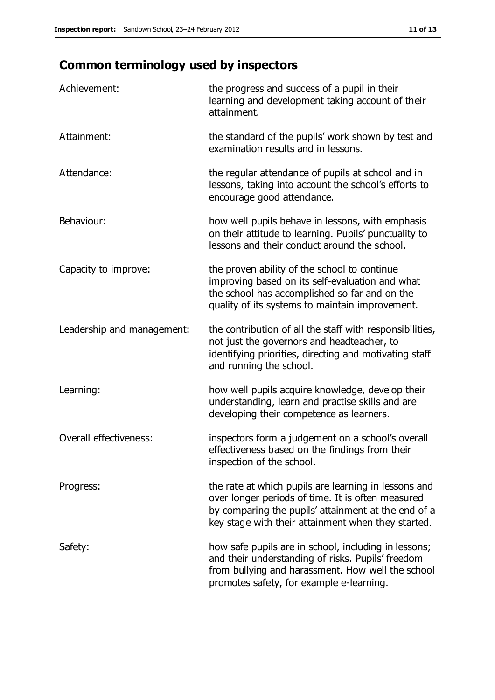# **Common terminology used by inspectors**

| Achievement:                  | the progress and success of a pupil in their<br>learning and development taking account of their<br>attainment.                                                                                                        |
|-------------------------------|------------------------------------------------------------------------------------------------------------------------------------------------------------------------------------------------------------------------|
| Attainment:                   | the standard of the pupils' work shown by test and<br>examination results and in lessons.                                                                                                                              |
| Attendance:                   | the regular attendance of pupils at school and in<br>lessons, taking into account the school's efforts to<br>encourage good attendance.                                                                                |
| Behaviour:                    | how well pupils behave in lessons, with emphasis<br>on their attitude to learning. Pupils' punctuality to<br>lessons and their conduct around the school.                                                              |
| Capacity to improve:          | the proven ability of the school to continue<br>improving based on its self-evaluation and what<br>the school has accomplished so far and on the<br>quality of its systems to maintain improvement.                    |
| Leadership and management:    | the contribution of all the staff with responsibilities,<br>not just the governors and headteacher, to<br>identifying priorities, directing and motivating staff<br>and running the school.                            |
| Learning:                     | how well pupils acquire knowledge, develop their<br>understanding, learn and practise skills and are<br>developing their competence as learners.                                                                       |
| <b>Overall effectiveness:</b> | inspectors form a judgement on a school's overall<br>effectiveness based on the findings from their<br>inspection of the school.                                                                                       |
| Progress:                     | the rate at which pupils are learning in lessons and<br>over longer periods of time. It is often measured<br>by comparing the pupils' attainment at the end of a<br>key stage with their attainment when they started. |
| Safety:                       | how safe pupils are in school, including in lessons;<br>and their understanding of risks. Pupils' freedom<br>from bullying and harassment. How well the school<br>promotes safety, for example e-learning.             |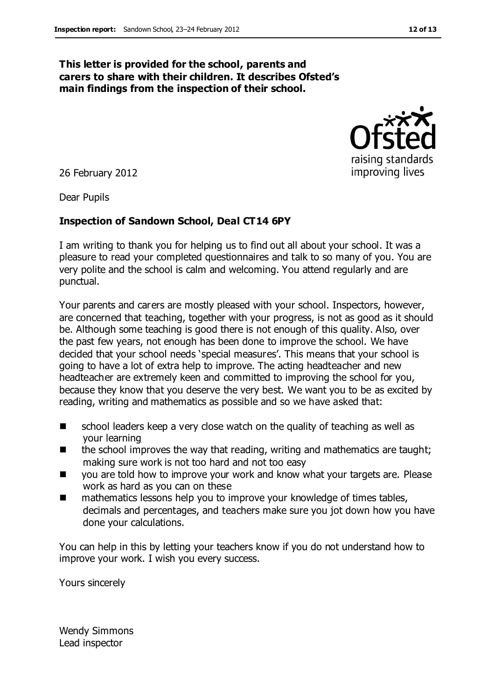#### **This letter is provided for the school, parents and carers to share with their children. It describes Ofsted's main findings from the inspection of their school.**



26 February 2012

Dear Pupils

#### **Inspection of Sandown School, Deal CT14 6PY**

I am writing to thank you for helping us to find out all about your school. It was a pleasure to read your completed questionnaires and talk to so many of you. You are very polite and the school is calm and welcoming. You attend regularly and are punctual.

Your parents and carers are mostly pleased with your school. Inspectors, however, are concerned that teaching, together with your progress, is not as good as it should be. Although some teaching is good there is not enough of this quality. Also, over the past few years, not enough has been done to improve the school. We have decided that your school needs 'special measures'. This means that your school is going to have a lot of extra help to improve. The acting headteacher and new headteacher are extremely keen and committed to improving the school for you, because they know that you deserve the very best. We want you to be as excited by reading, writing and mathematics as possible and so we have asked that:

- school leaders keep a very close watch on the quality of teaching as well as your learning
- $\blacksquare$  the school improves the way that reading, writing and mathematics are taught; making sure work is not too hard and not too easy
- you are told how to improve your work and know what your targets are. Please work as hard as you can on these
- mathematics lessons help you to improve your knowledge of times tables, decimals and percentages, and teachers make sure you jot down how you have done your calculations.

You can help in this by letting your teachers know if you do not understand how to improve your work. I wish you every success.

Yours sincerely

Wendy Simmons Lead inspector